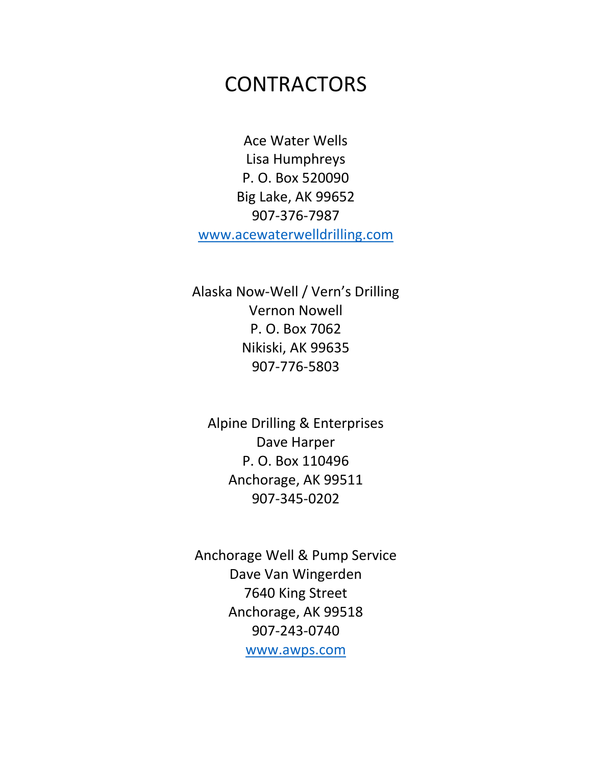## **CONTRACTORS**

Ace Water Wells Lisa Humphreys P. O. Box 520090 Big Lake, AK 99652 907-376-7987 [www.acewaterwelldrilling.com](http://www.acewaterwelldrilling.com/)

Alaska Now-Well / Vern's Drilling Vernon Nowell P. O. Box 7062 Nikiski, AK 99635 907-776-5803

Alpine Drilling & Enterprises Dave Harper P. O. Box 110496 Anchorage, AK 99511 907-345-0202

Anchorage Well & Pump Service Dave Van Wingerden 7640 King Street Anchorage, AK 99518 907-243-0740 [www.awps.com](http://www.awps.com/)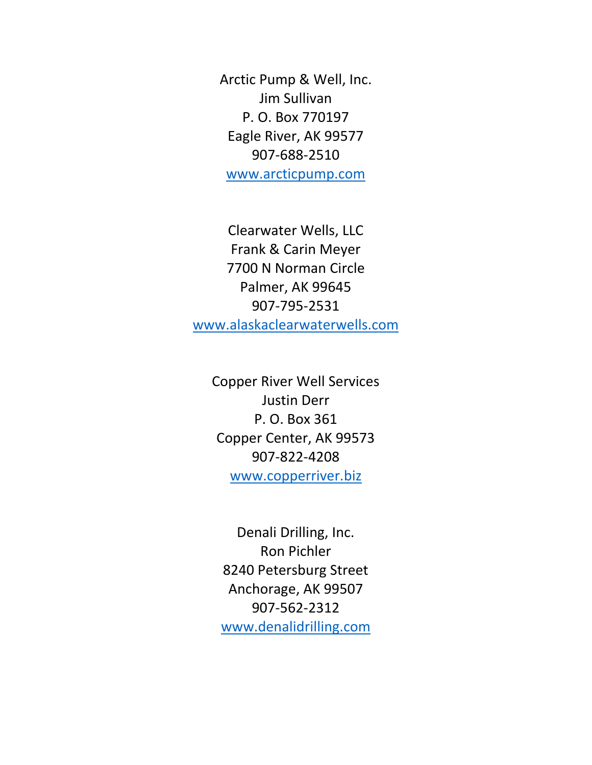Arctic Pump & Well, Inc. Jim Sullivan P. O. Box 770197 Eagle River, AK 99577 907-688-2510 [www.arcticpump.com](http://www.arcticpump.com/)

Clearwater Wells, LLC Frank & Carin Meyer 7700 N Norman Circle Palmer, AK 99645 907-795-2531 [www.alaskaclearwaterwells.com](http://www.alaskaclearwaterwells.com/)

Copper River Well Services Justin Derr P. O. Box 361 Copper Center, AK 99573 907-822-4208 [www.copperriver.biz](http://www.copperriver.biz/)

Denali Drilling, Inc. Ron Pichler 8240 Petersburg Street Anchorage, AK 99507 907-562-2312 [www.denalidrilling.com](http://www.denalidrilling.com/)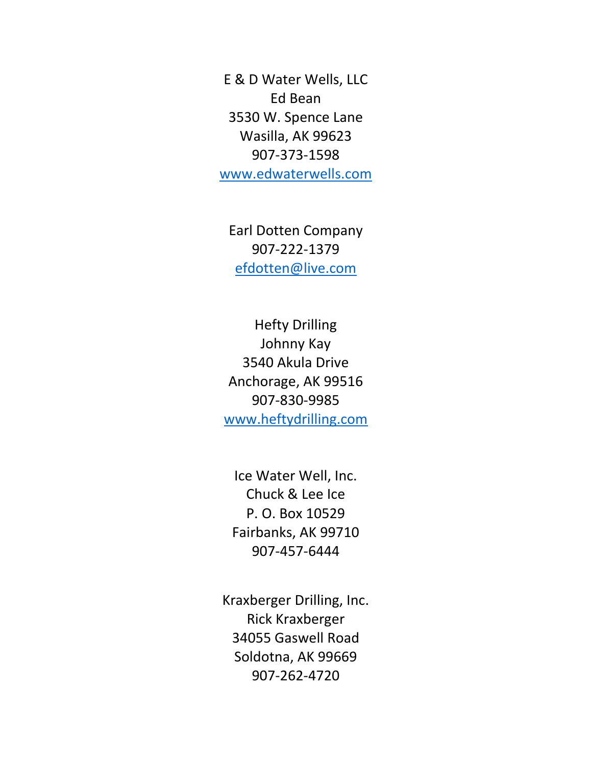E & D Water Wells, LLC Ed Bean 3530 W. Spence Lane Wasilla, AK 99623 907-373-1598 [www.edwaterwells.com](http://www.edwaterwells.com/)

Earl Dotten Company 907-222-1379 [efdotten@live.com](mailto:efdotten@live.com)

Hefty Drilling Johnny Kay 3540 Akula Drive Anchorage, AK 99516 907-830-9985 [www.heftydrilling.com](http://www.heftydrilling.com/)

Ice Water Well, Inc. Chuck & Lee Ice P. O. Box 10529 Fairbanks, AK 99710 907-457-6444

Kraxberger Drilling, Inc. Rick Kraxberger 34055 Gaswell Road Soldotna, AK 99669 907-262-4720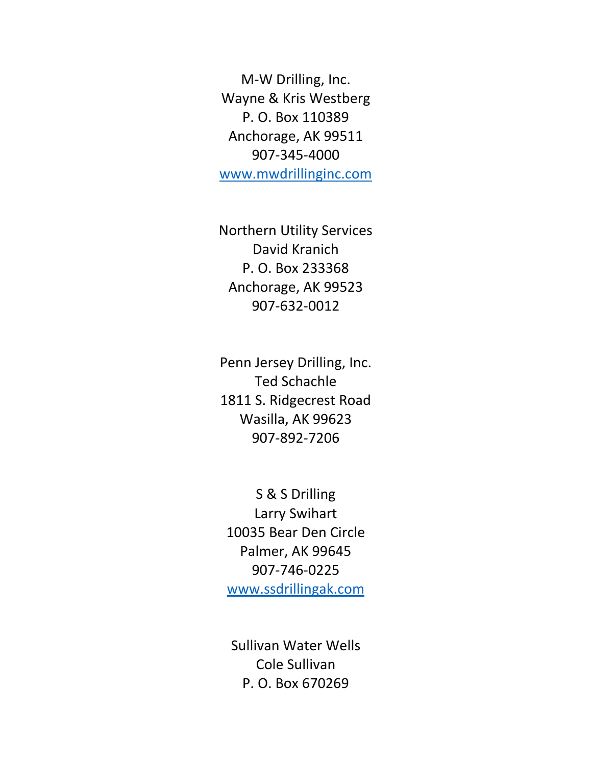M-W Drilling, Inc. Wayne & Kris Westberg P. O. Box 110389 Anchorage, AK 99511 907-345-4000 [www.mwdrillinginc.com](http://www.mwdrillinginc.com/)

Northern Utility Services David Kranich P. O. Box 233368 Anchorage, AK 99523 907-632-0012

Penn Jersey Drilling, Inc. Ted Schachle 1811 S. Ridgecrest Road Wasilla, AK 99623 907-892-7206

S & S Drilling Larry Swihart 10035 Bear Den Circle Palmer, AK 99645 907-746-0225 [www.ssdrillingak.com](http://www.ssdrillingak.com/)

Sullivan Water Wells Cole Sullivan P. O. Box 670269